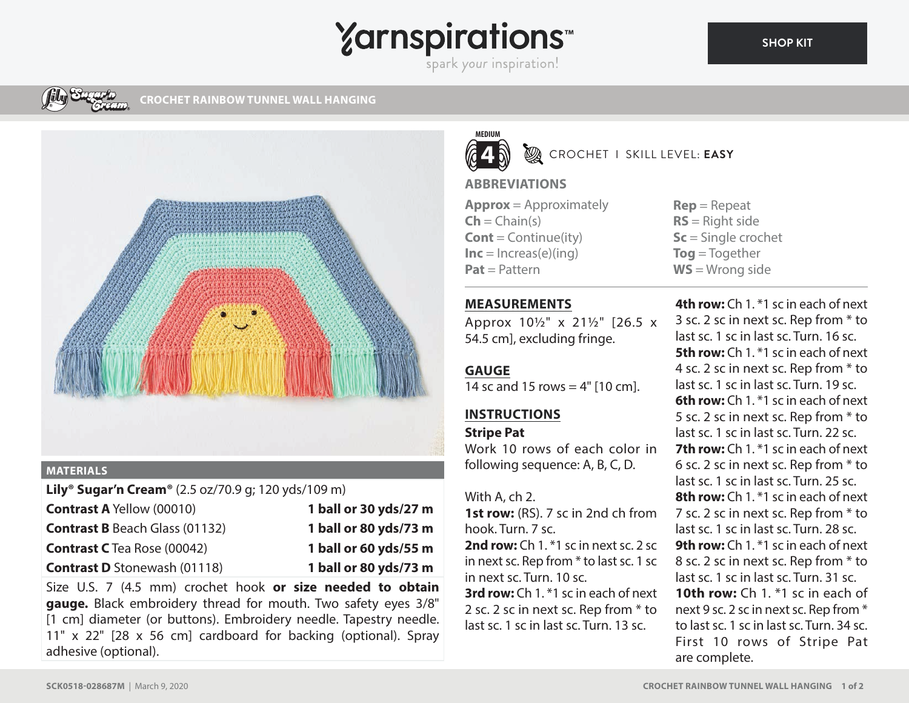**Yarnspirations** spark your inspiration!



**CROCHET RAINBOW TUNNEL WALL HANGING**



#### **MATERIALS**

**Lily® Sugar'n Cream®** (2.5 oz/70.9 g; 120 yds/109 m) **Contrast A** Yellow (00010) **1 ball or 30 yds/27 m Contrast B** Beach Glass (01132) **1 ball or 80 yds/73 m Contrast C** Tea Rose (00042) **1 ball or 60 yds/55 m Contrast D** Stonewash (01118) **1 ball or 80 yds/73 m**

Size U.S. 7 (4.5 mm) crochet hook **or size needed to obtain gauge.** Black embroidery thread for mouth. Two safety eyes 3/8" [1 cm] diameter (or buttons). Embroidery needle. Tapestry needle. 11" x 22" [28 x 56 cm] cardboard for backing (optional). Spray adhesive (optional).



## **B** CROCHET I SKILL LEVEL: **EASY**

## **ABBREVIATIONS**

**Approx** = Approximately  $\mathsf{Ch} = \mathsf{Chain}(s)$ **Cont** = Continue(ity)  $Inc = Increase(e)(ing)$ **Pat** = Pattern

#### **MEASUREMENTS**

Approx 10½" x 21½" [26.5 x 54.5 cm], excluding fringe.

## **GAUGE**

14 sc and 15 rows  $=$  4" [10 cm].

# **INSTRUCTIONS**

**Stripe Pat**

Work 10 rows of each color in following sequence: A, B, C, D.

With A, ch 2.

**1st row:** (RS). 7 sc in 2nd ch from hook. Turn. 7 sc. **2nd row:** Ch 1. \*1 sc in next sc. 2 sc in next sc. Rep from \* to last sc. 1 sc in next sc. Turn. 10 sc. **3rd row:** Ch 1. \*1 sc in each of next 2 sc. 2 sc in next sc. Rep from \* to last sc. 1 sc in last sc. Turn. 13 sc.

**Rep** = Repeat **RS** = Right side **Sc** = Single crochet **Tog** = Together **WS** = Wrong side

**4th row:** Ch 1. \*1 sc in each of next 3 sc. 2 sc in next sc. Rep from \* to last sc. 1 sc in last sc. Turn. 16 sc. **5th row:** Ch 1. <sup>\*</sup>1 sc in each of next 4 sc. 2 sc in next sc. Rep from \* to last sc. 1 sc in last sc. Turn. 19 sc. **6th row:** Ch 1. \*1 sc in each of next 5 sc. 2 sc in next sc. Rep from \* to last sc. 1 sc in last sc. Turn. 22 sc. **7th row:** Ch 1. \*1 sc in each of next 6 sc. 2 sc in next sc. Rep from \* to last sc. 1 sc in last sc. Turn. 25 sc. **8th row:** Ch 1. \*1 sc in each of next 7 sc. 2 sc in next sc. Rep from \* to last sc. 1 sc in last sc. Turn. 28 sc. **9th row:** Ch 1. \*1 sc in each of next 8 sc. 2 sc in next sc. Rep from \* to last sc. 1 sc in last sc. Turn. 31 sc. **10th row:** Ch 1. \*1 sc in each of next 9 sc. 2 sc in next sc. Rep from \* to last sc. 1 sc in last sc. Turn. 34 sc. First 10 rows of Stripe Pat are complete.